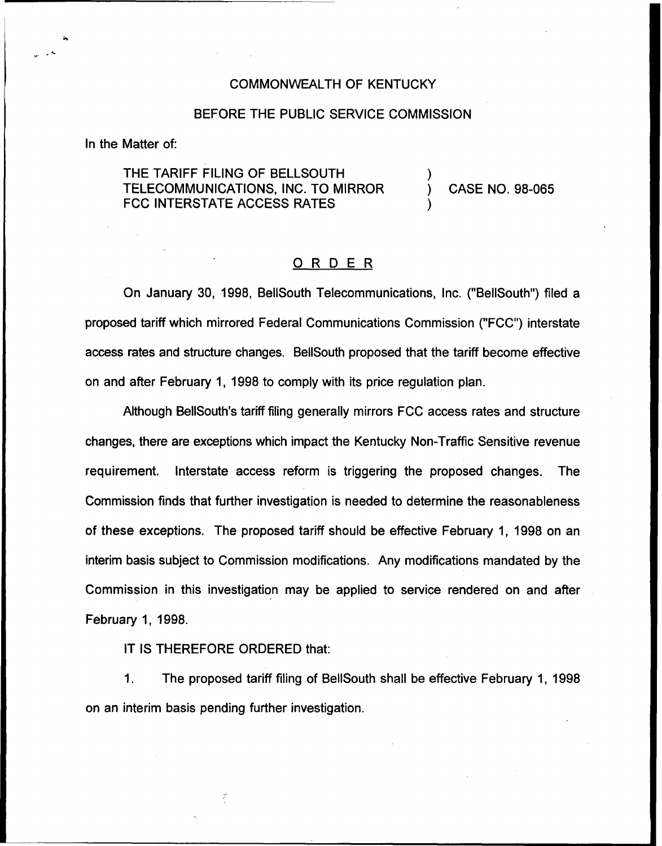#### COMMONWEALTH OF KENTUCKY

### BEFORE THE PUBLIC SERVICE COMMISSION

In the Matter of:

## THE TARIFF FILING OF BELLSOUTH TELECOMMUNICATIONS, INC. TO MIRROR FCC INTERSTATE ACCESS RATES

) CASE NO. 98-065

)

)

### ORDER

On January 30, 1998, BellSouth Telecommunications, Inc. ("BelISouth") filed a proposed tariff which mirrored Federal Communications Commission ("FCC") interstate access rates and structure changes. BellSouth proposed that the tariff become effective on and after February 1, 1998 to comply with its price regulation plan.

Although BelISouth's tariff filing generally mirrors FCC access rates and structure changes, there are exceptions which impact the Kentucky Non-Traffic Sensitive revenue requirement. Interstate access reform is triggering the proposed changes. The Commission finds that further investigation is needed to determine the reasonableness of these exceptions. The proposed tariff should be effective February 1, 1998 on an interim basis subject to Commission modifications. Any modifications mandated by the Commission in this investigation may be applied to service rendered on and after February 1, 1998.

IT IS THEREFORE ORDERED that:

 $1<sub>1</sub>$ The proposed tariff filing of BellSouth shall be effective February 1, 1998 on an interim basis pending further investigation.